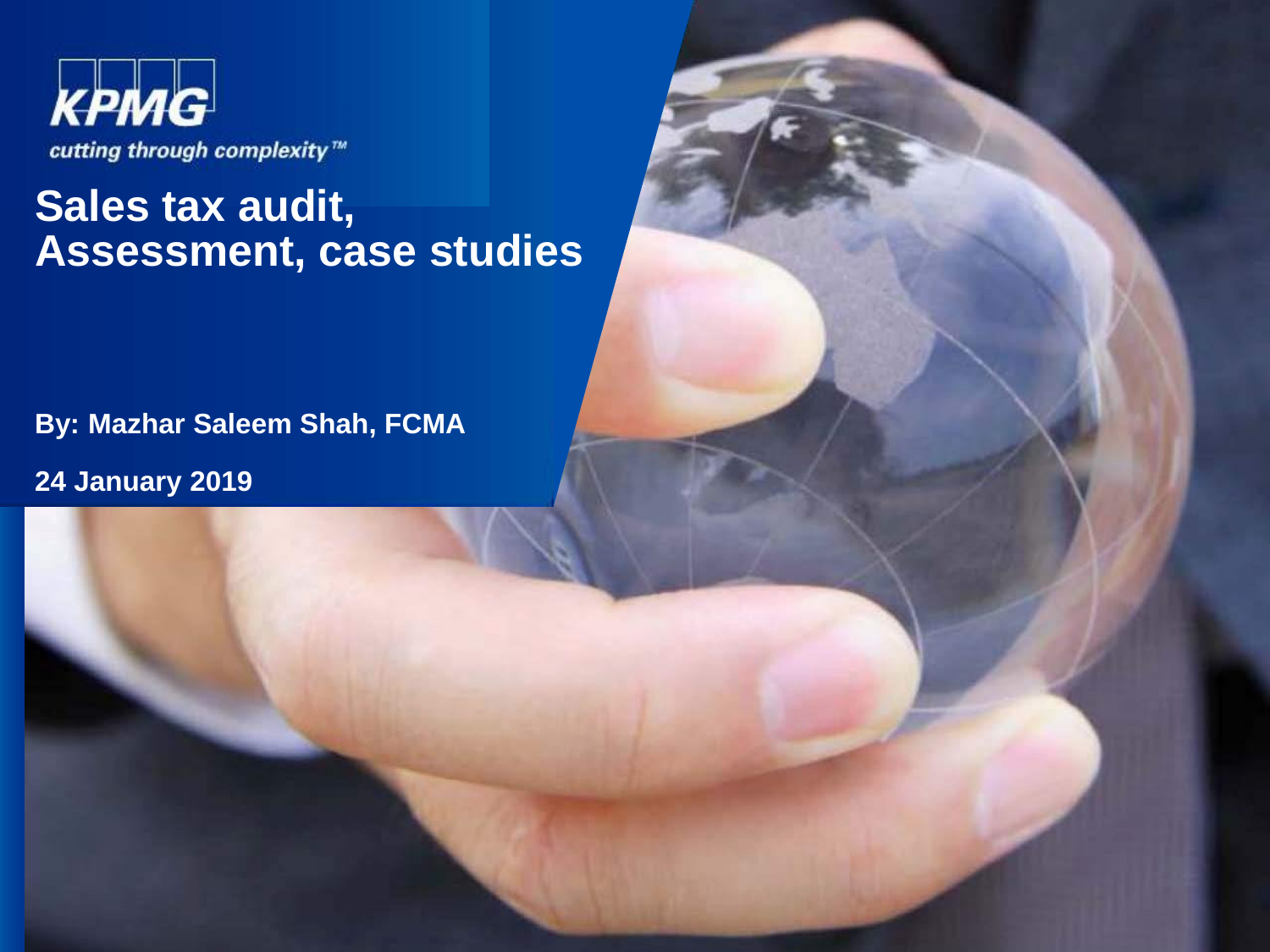

#### **Sales tax audit, Assessment, case studies**

**By: Mazhar Saleem Shah, FCMA** 

**24 January 2019**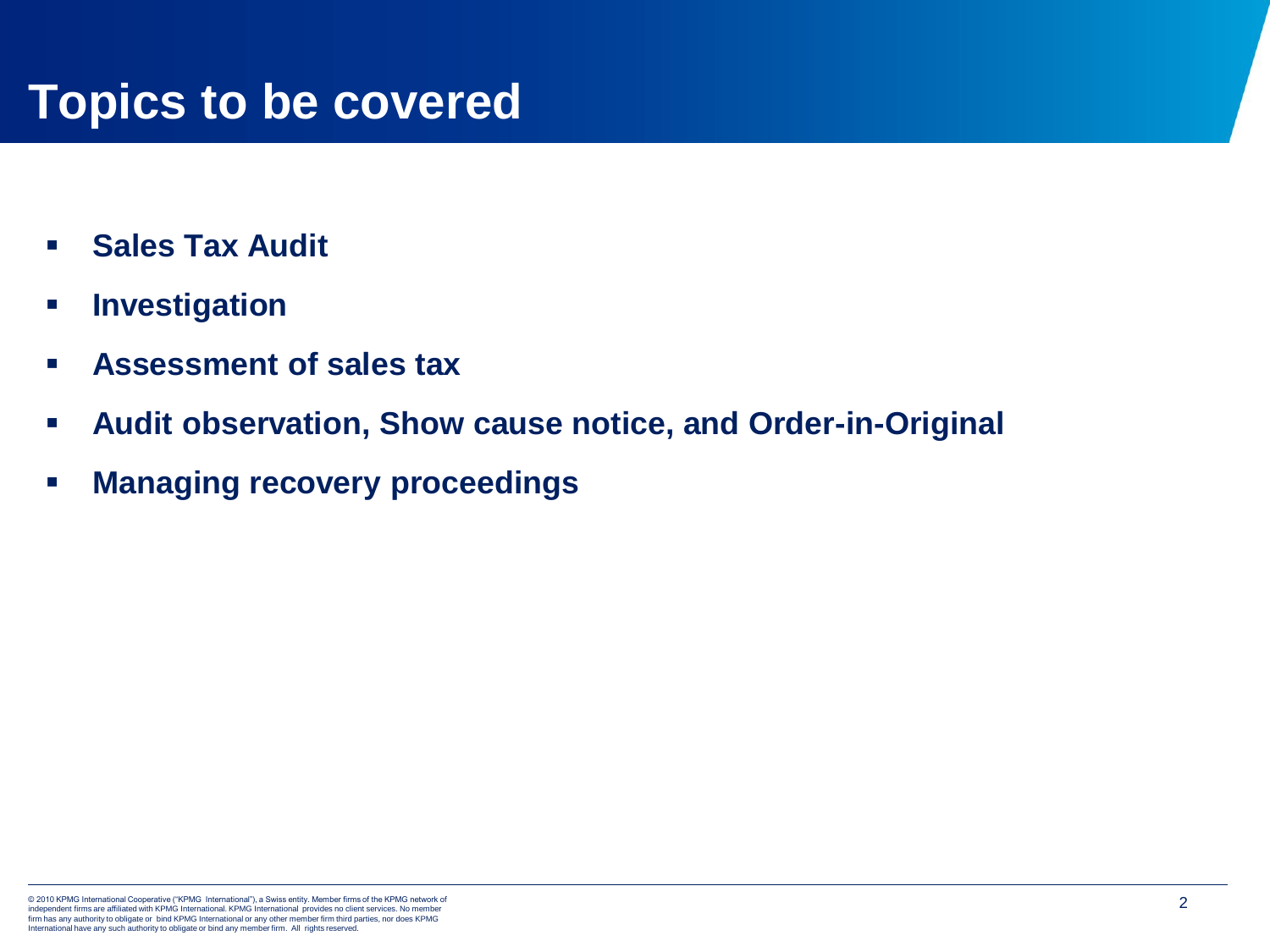#### **Topics to be covered**

- **Sales Tax Audit**
- **Investigation**
- **Assessment of sales tax**
- **Audit observation, Show cause notice, and Order-in-Original**
- **Managing recovery proceedings**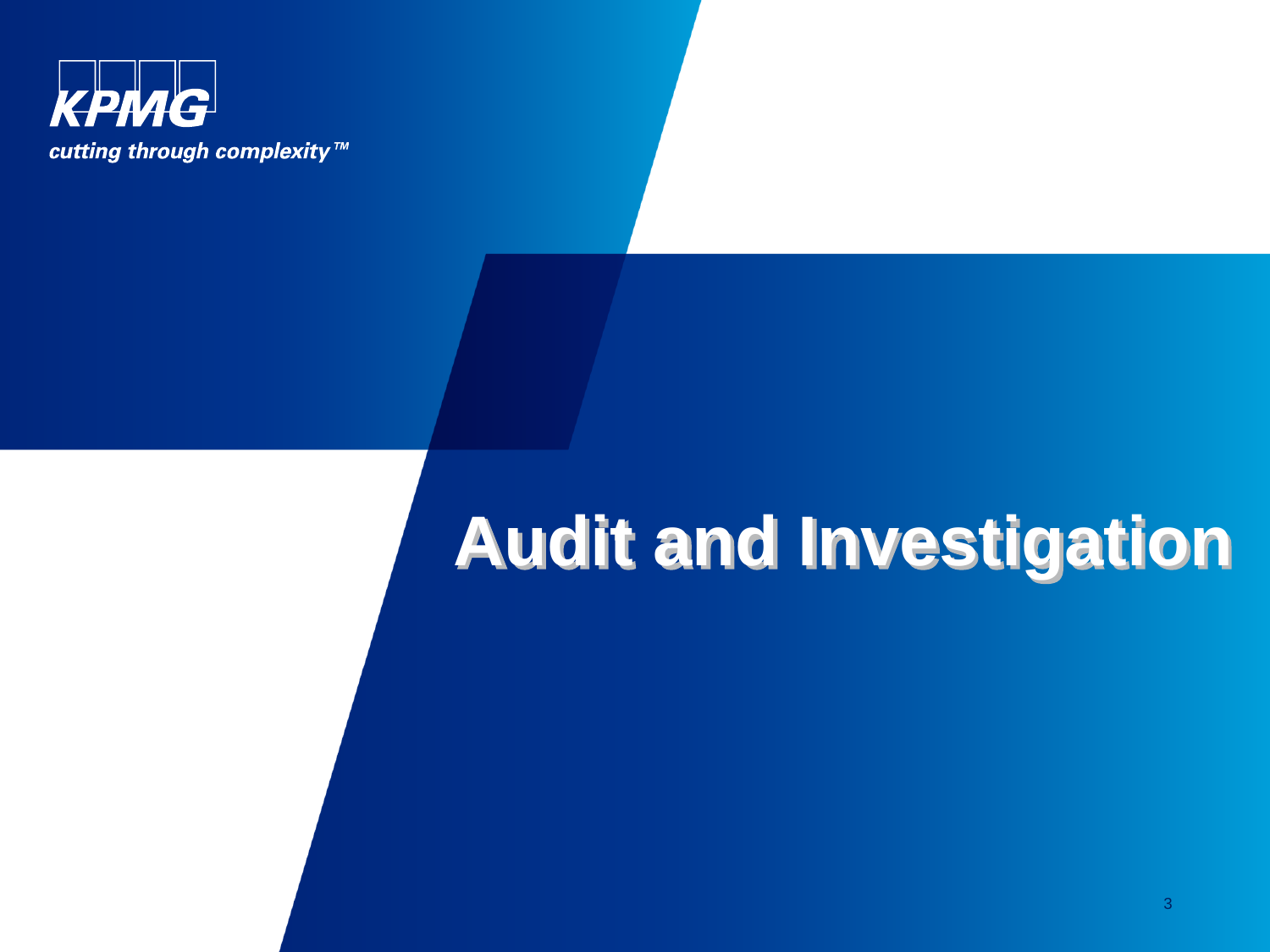

# **Audit and Investigation**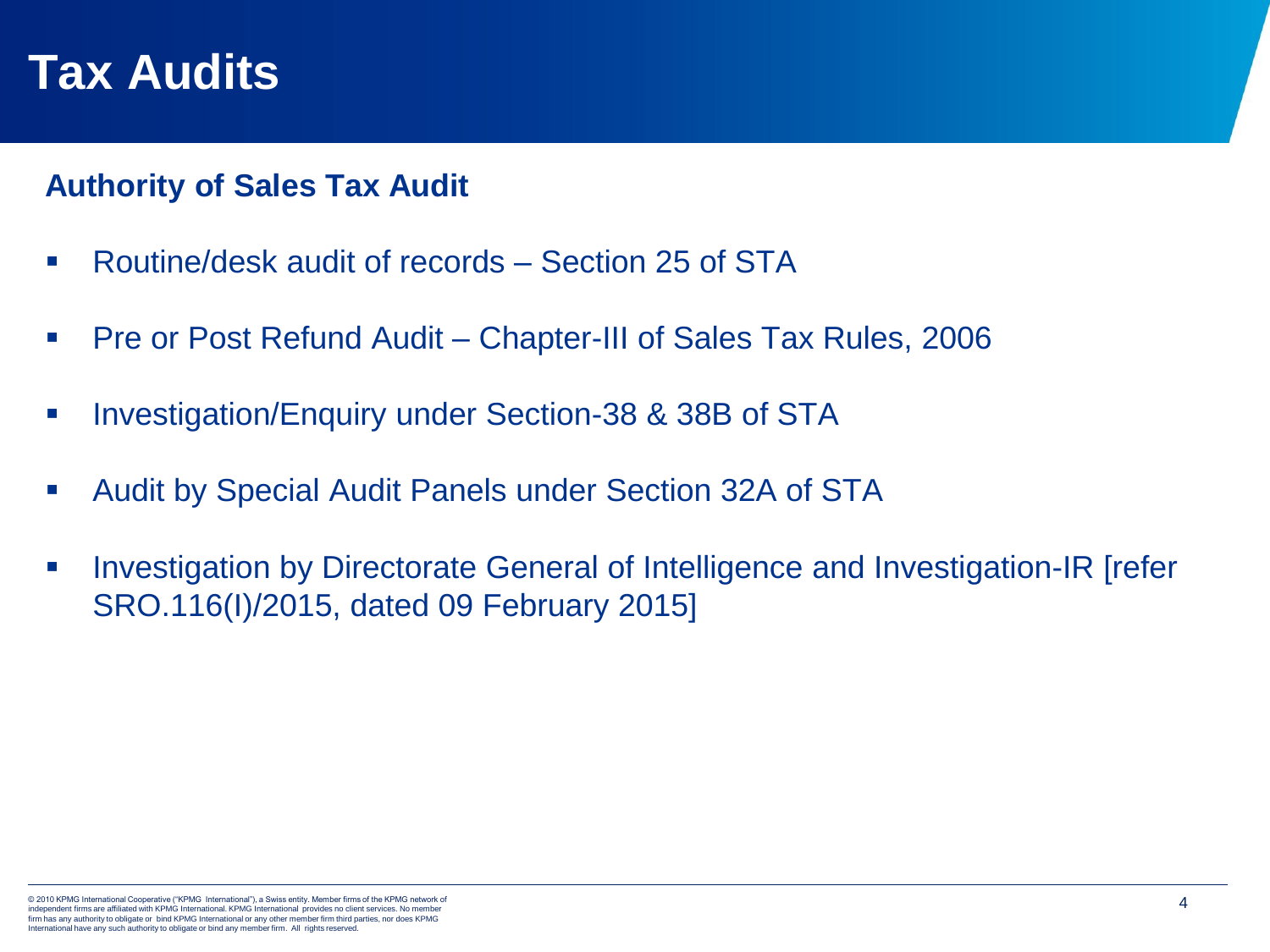#### **Tax Audits**

#### **Authority of Sales Tax Audit**

- Routine/desk audit of records Section 25 of STA
- Pre or Post Refund Audit Chapter-III of Sales Tax Rules, 2006
- Investigation/Enquiry under Section-38 & 38B of STA
- Audit by Special Audit Panels under Section 32A of STA
- Investigation by Directorate General of Intelligence and Investigation-IR [refer] SRO.116(I)/2015, dated 09 February 2015]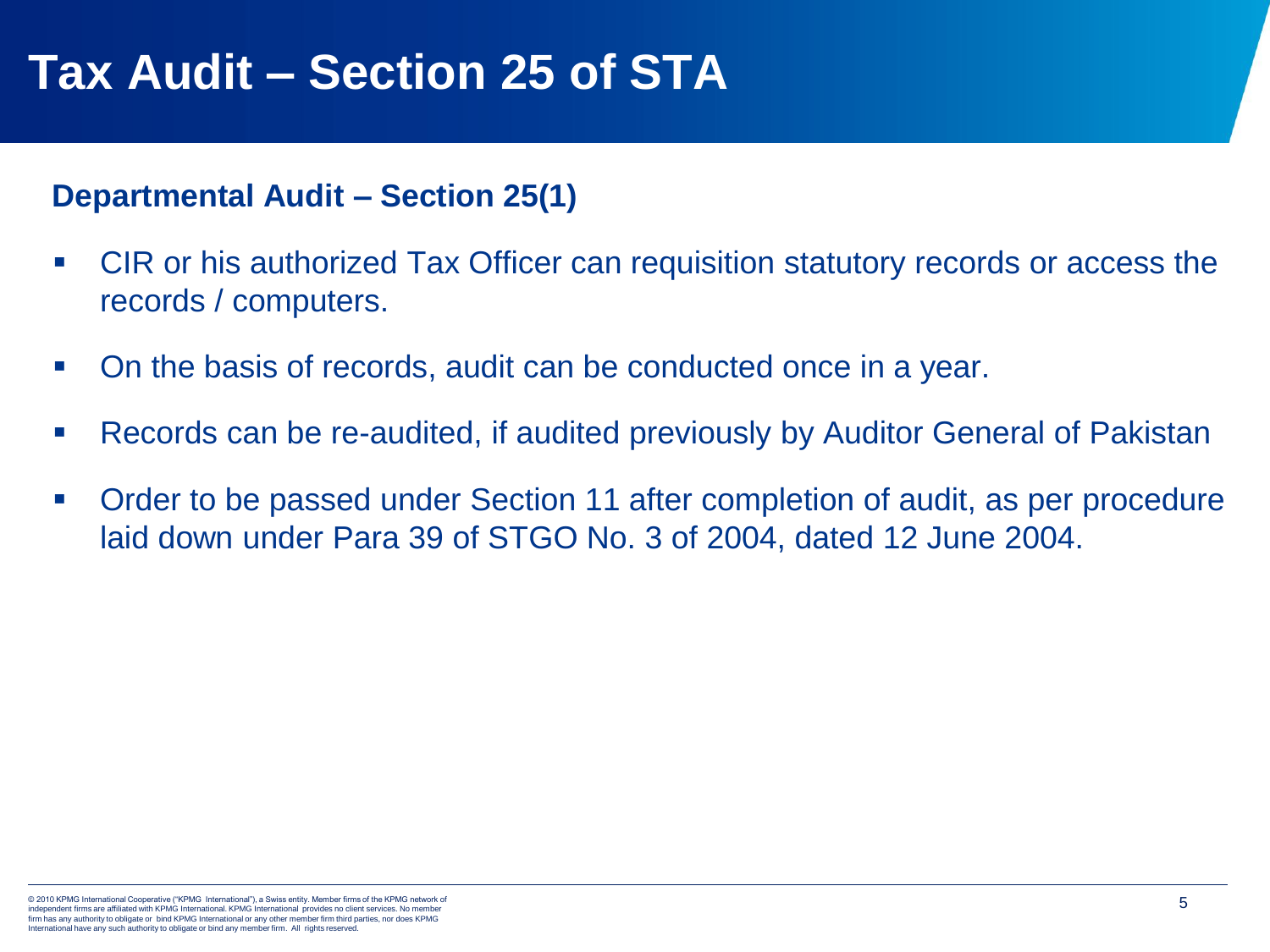## **Tax Audit – Section 25 of STA**

#### **Departmental Audit – Section 25(1)**

- CIR or his authorized Tax Officer can requisition statutory records or access the records / computers.
- On the basis of records, audit can be conducted once in a year.
- Records can be re-audited, if audited previously by Auditor General of Pakistan
- Order to be passed under Section 11 after completion of audit, as per procedure laid down under Para 39 of STGO No. 3 of 2004, dated 12 June 2004.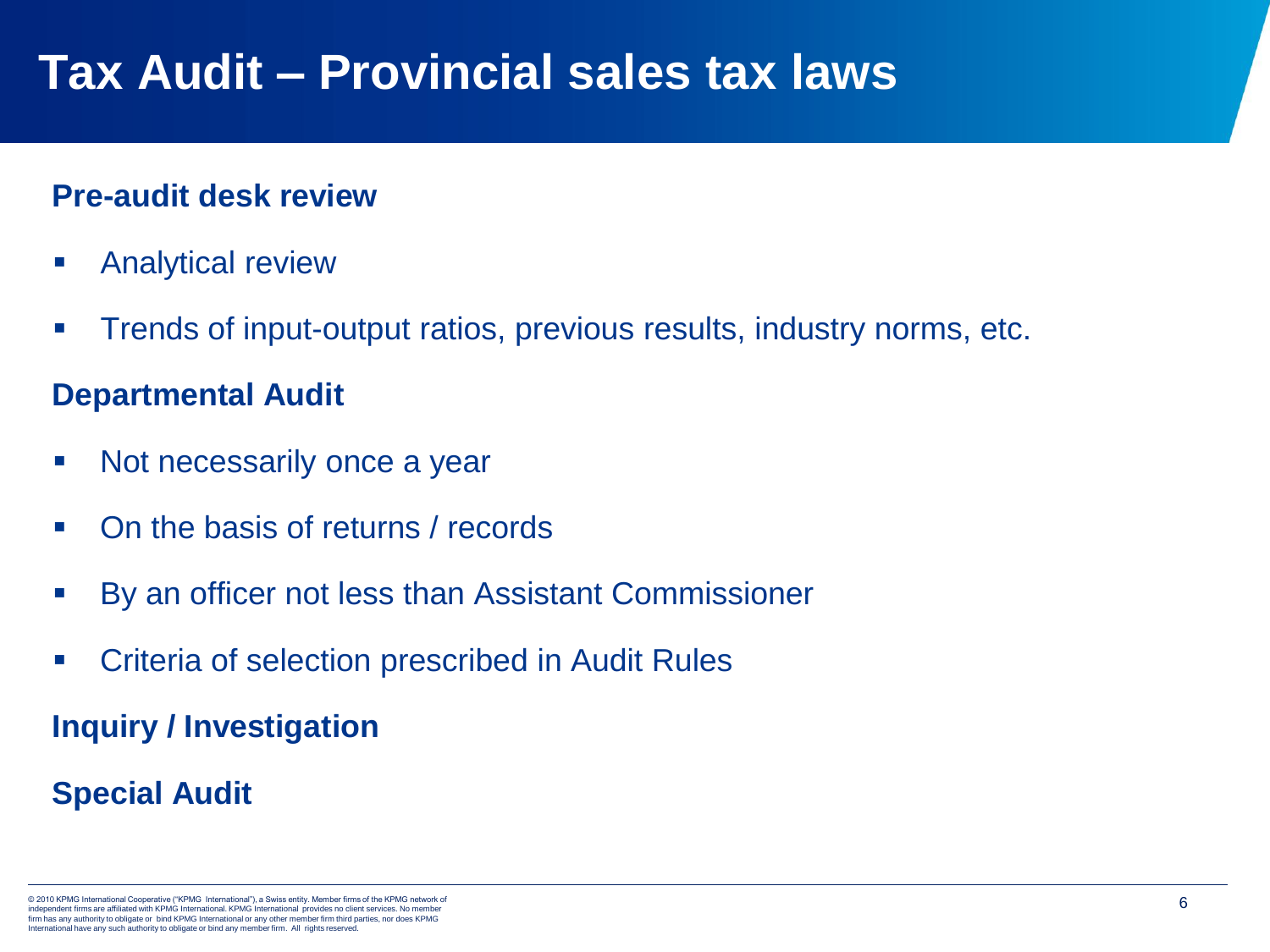## **Tax Audit – Provincial sales tax laws**

#### **Pre-audit desk review**

- **E** Analytical review
- **Trends of input-output ratios, previous results, industry norms, etc.**

#### **Departmental Audit**

- Not necessarily once a year
- On the basis of returns / records
- By an officer not less than Assistant Commissioner
- Criteria of selection prescribed in Audit Rules

**Inquiry / Investigation**

#### **Special Audit**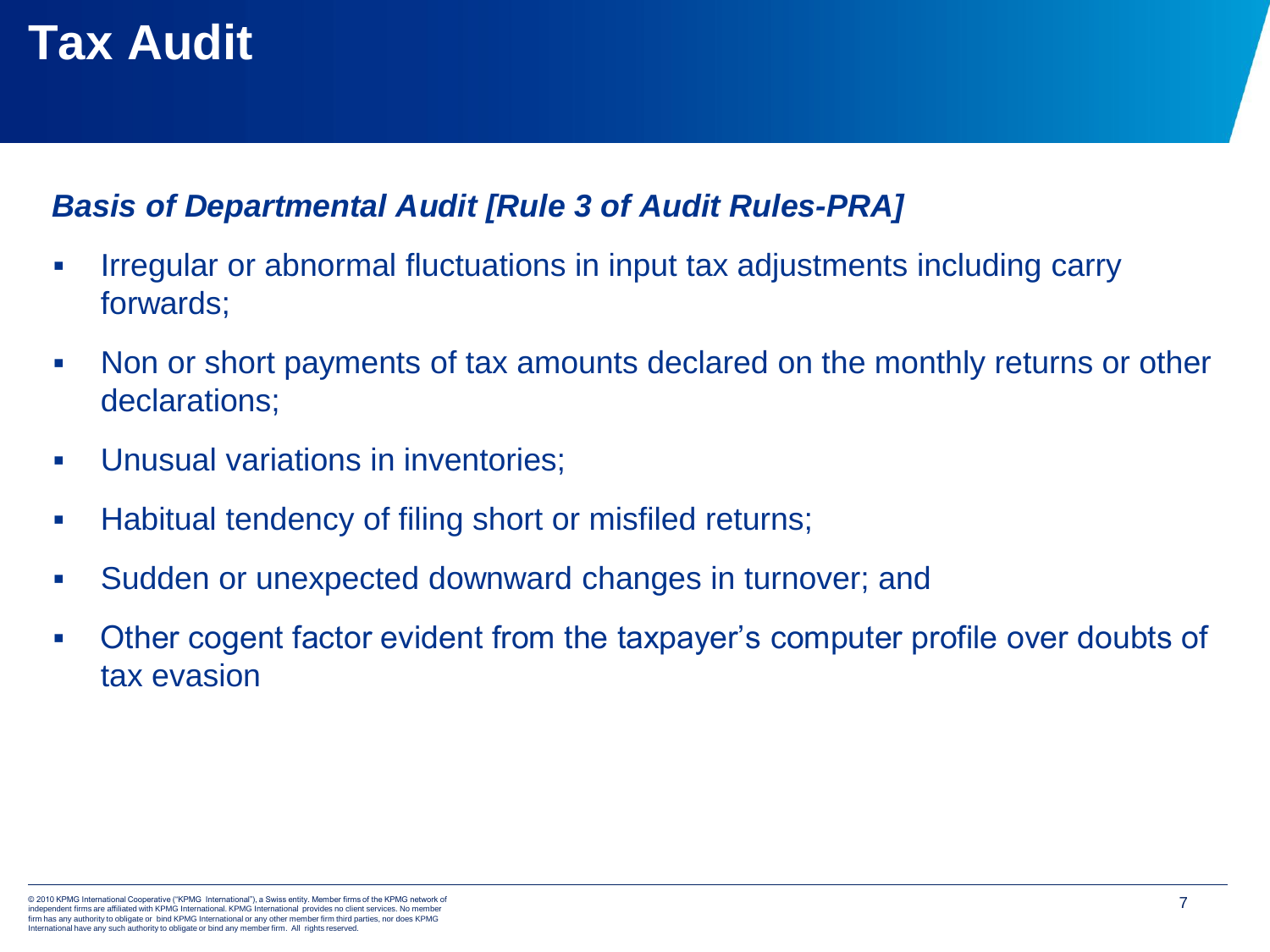## **Tax Audit**

#### *Basis of Departmental Audit [Rule 3 of Audit Rules-PRA]*

- **Irregular or abnormal fluctuations in input tax adjustments including carry** forwards;
- Non or short payments of tax amounts declared on the monthly returns or other declarations;
- **Unusual variations in inventories;**
- Habitual tendency of filing short or misfiled returns;
- Sudden or unexpected downward changes in turnover; and
- Other cogent factor evident from the taxpayer's computer profile over doubts of tax evasion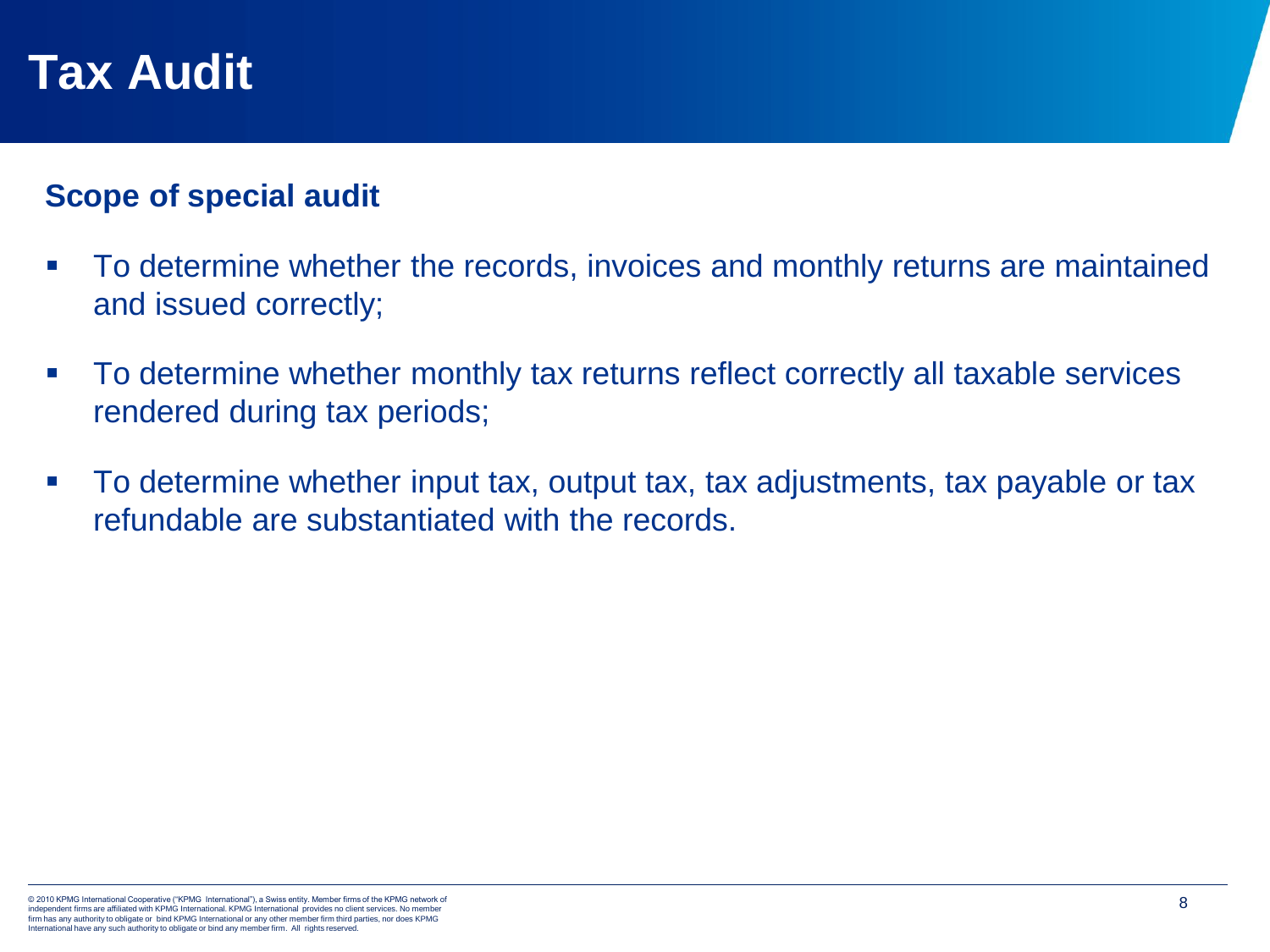### **Tax Audit**

#### **Scope of special audit**

- To determine whether the records, invoices and monthly returns are maintained and issued correctly;
- To determine whether monthly tax returns reflect correctly all taxable services rendered during tax periods;
- To determine whether input tax, output tax, tax adjustments, tax payable or tax refundable are substantiated with the records.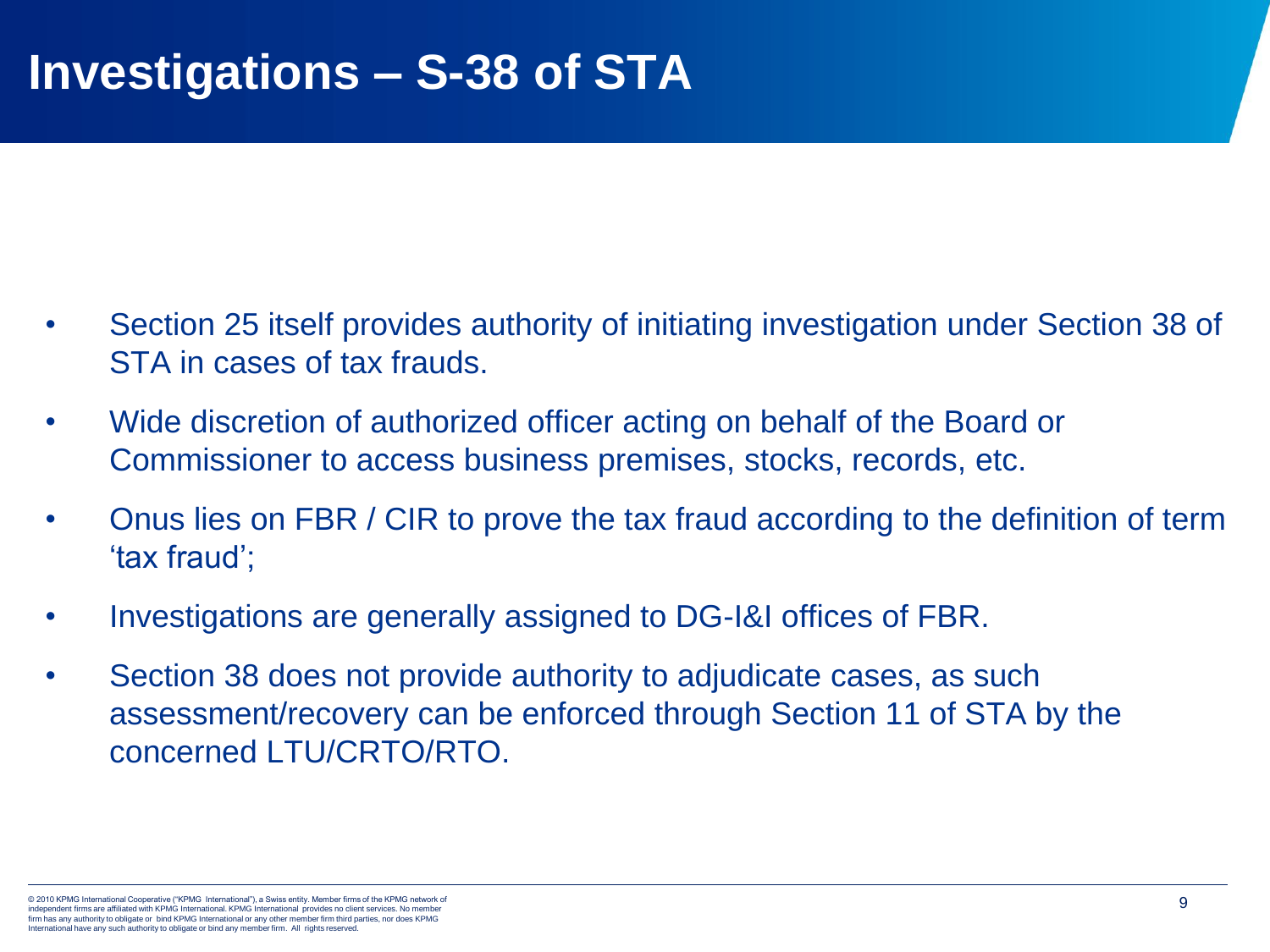- Section 25 itself provides authority of initiating investigation under Section 38 of STA in cases of tax frauds.
- Wide discretion of authorized officer acting on behalf of the Board or Commissioner to access business premises, stocks, records, etc.
- Onus lies on FBR / CIR to prove the tax fraud according to the definition of term 'tax fraud';
- Investigations are generally assigned to DG-I&I offices of FBR.
- Section 38 does not provide authority to adjudicate cases, as such assessment/recovery can be enforced through Section 11 of STA by the concerned LTU/CRTO/RTO.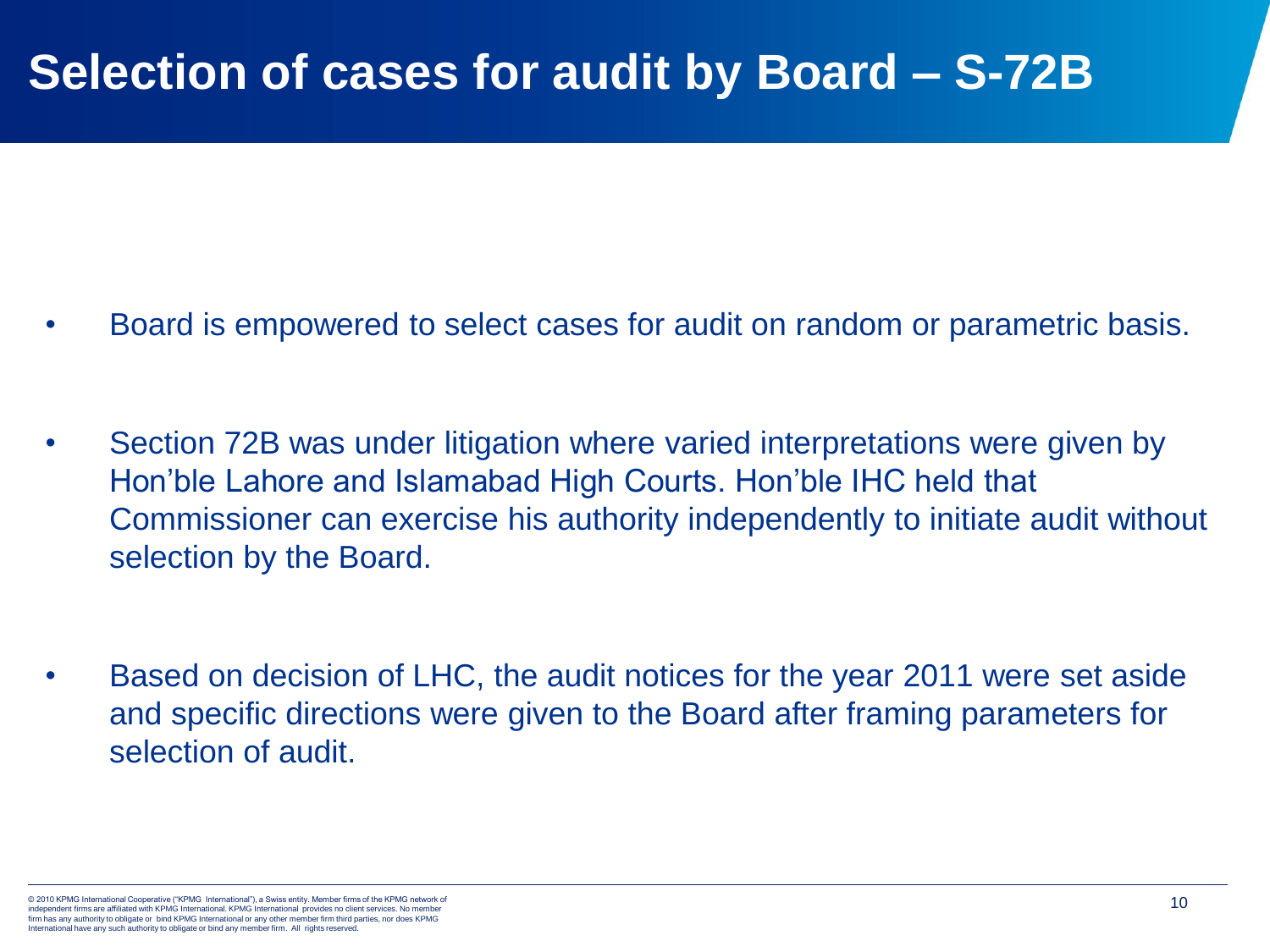#### **Selection of cases for audit by Board – S-72B**

- Board is empowered to select cases for audit on random or parametric basis.
- Section 72B was under litigation where varied interpretations were given by Hon'ble Lahore and Islamabad High Courts. Hon'ble IHC held that Commissioner can exercise his authority independently to initiate audit without selection by the Board.
- Based on decision of LHC, the audit notices for the year 2011 were set aside and specific directions were given to the Board after framing parameters for selection of audit.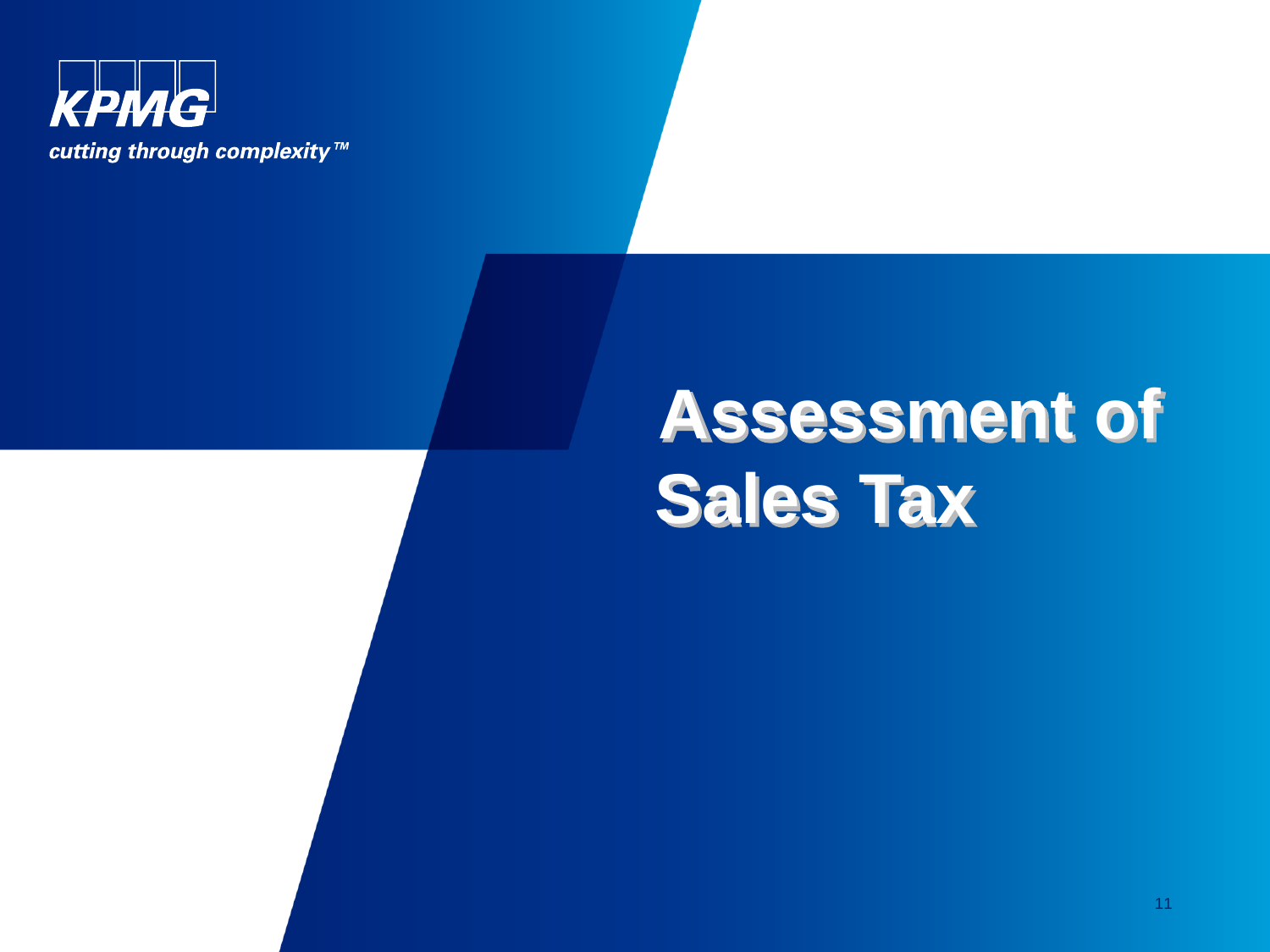

## **Assessment of Sales Tax**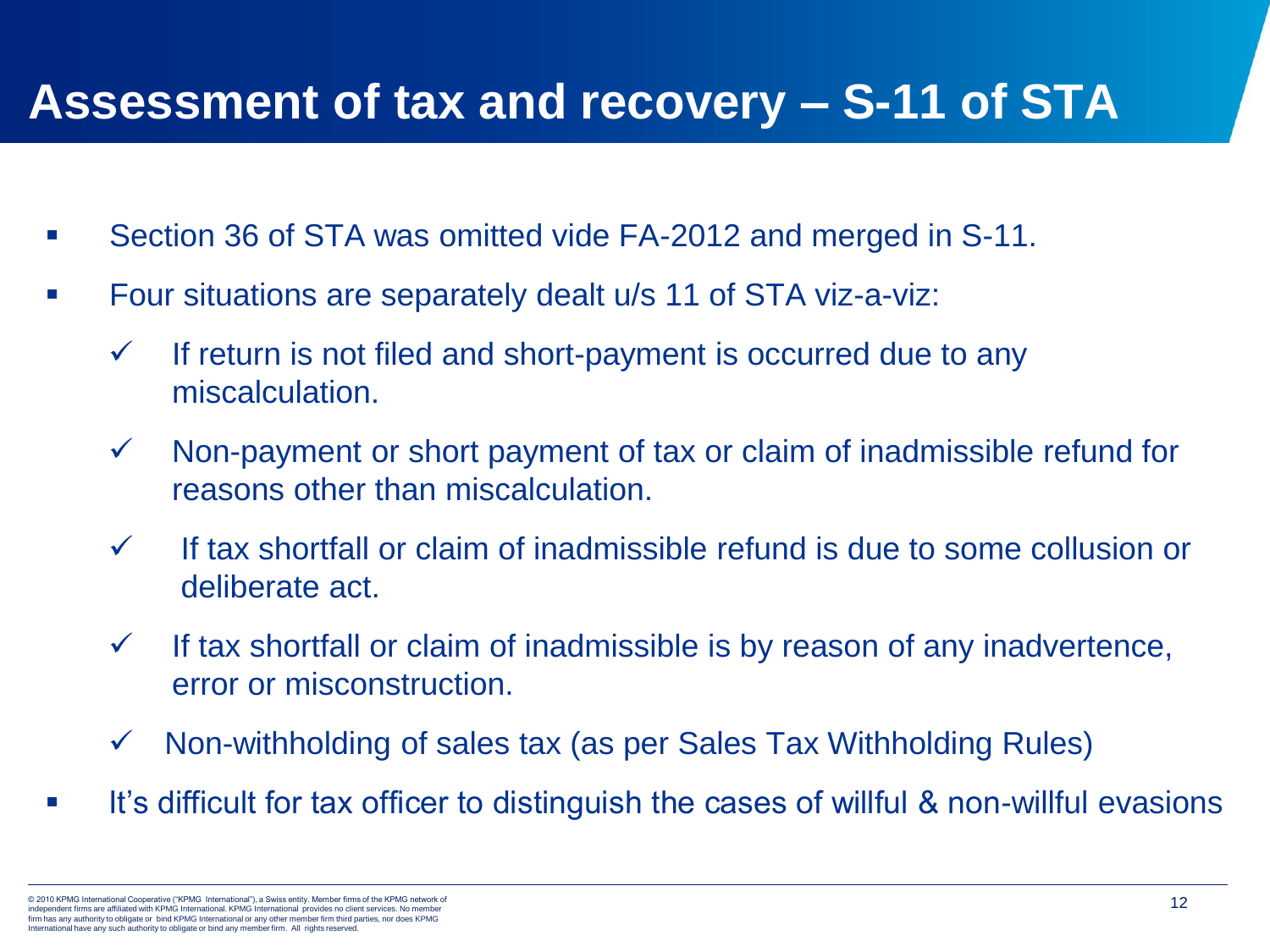### **Assessment of tax and recovery – S-11 of STA**

- Section 36 of STA was omitted vide FA-2012 and merged in S-11.
- Four situations are separately dealt u/s 11 of STA viz-a-viz:
	- $\checkmark$  If return is not filed and short-payment is occurred due to any miscalculation.
	- $\checkmark$  Non-payment or short payment of tax or claim of inadmissible refund for reasons other than miscalculation.
	- ✓ If tax shortfall or claim of inadmissible refund is due to some collusion or deliberate act.
	- $\checkmark$  If tax shortfall or claim of inadmissible is by reason of any inadvertence, error or misconstruction.
	- $\checkmark$  Non-withholding of sales tax (as per Sales Tax Withholding Rules)
- **■** It's difficult for tax officer to distinguish the cases of willful & non-willful evasions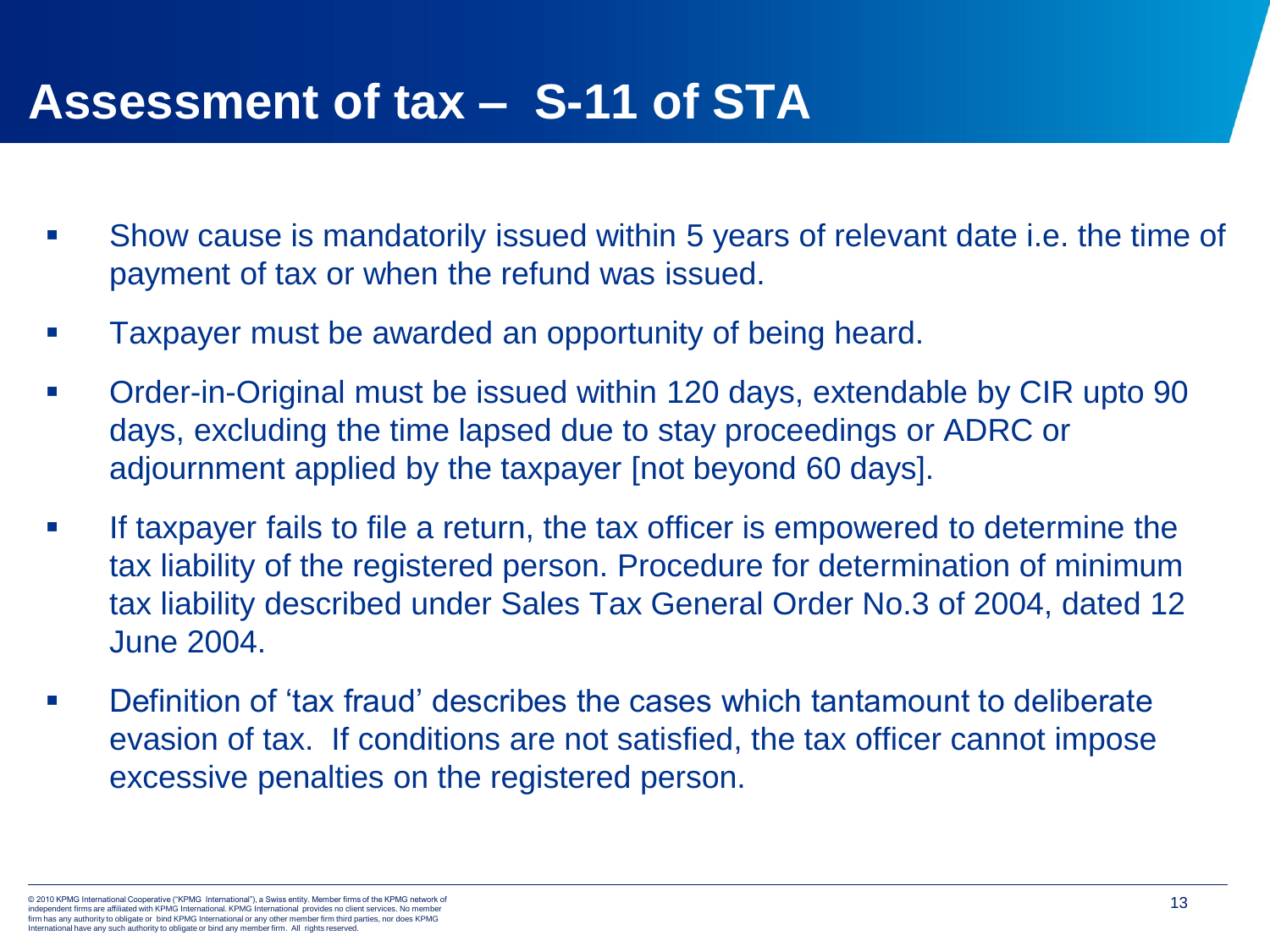#### **Assessment of tax – S-11 of STA**

- Show cause is mandatorily issued within 5 years of relevant date i.e. the time of payment of tax or when the refund was issued.
- Taxpayer must be awarded an opportunity of being heard.
- Order-in-Original must be issued within 120 days, extendable by CIR upto 90 days, excluding the time lapsed due to stay proceedings or ADRC or adjournment applied by the taxpayer [not beyond 60 days].
- If taxpayer fails to file a return, the tax officer is empowered to determine the tax liability of the registered person. Procedure for determination of minimum tax liability described under Sales Tax General Order No.3 of 2004, dated 12 June 2004.
- Definition of 'tax fraud' describes the cases which tantamount to deliberate evasion of tax. If conditions are not satisfied, the tax officer cannot impose excessive penalties on the registered person.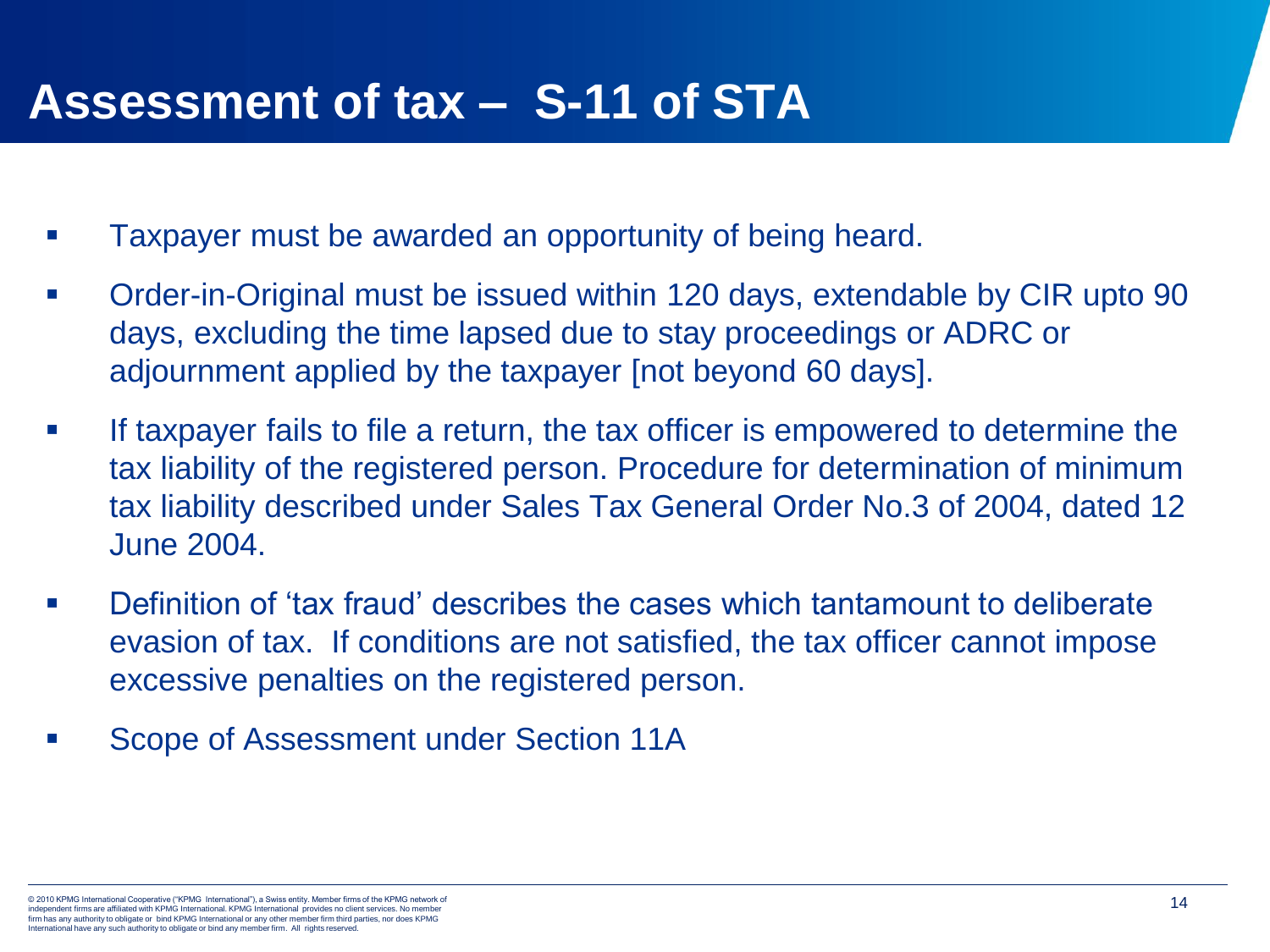#### **Assessment of tax – S-11 of STA**

- Taxpayer must be awarded an opportunity of being heard.
- Order-in-Original must be issued within 120 days, extendable by CIR upto 90 days, excluding the time lapsed due to stay proceedings or ADRC or adjournment applied by the taxpayer [not beyond 60 days].
- If taxpayer fails to file a return, the tax officer is empowered to determine the tax liability of the registered person. Procedure for determination of minimum tax liability described under Sales Tax General Order No.3 of 2004, dated 12 June 2004.
- Definition of 'tax fraud' describes the cases which tantamount to deliberate evasion of tax. If conditions are not satisfied, the tax officer cannot impose excessive penalties on the registered person.
- Scope of Assessment under Section 11A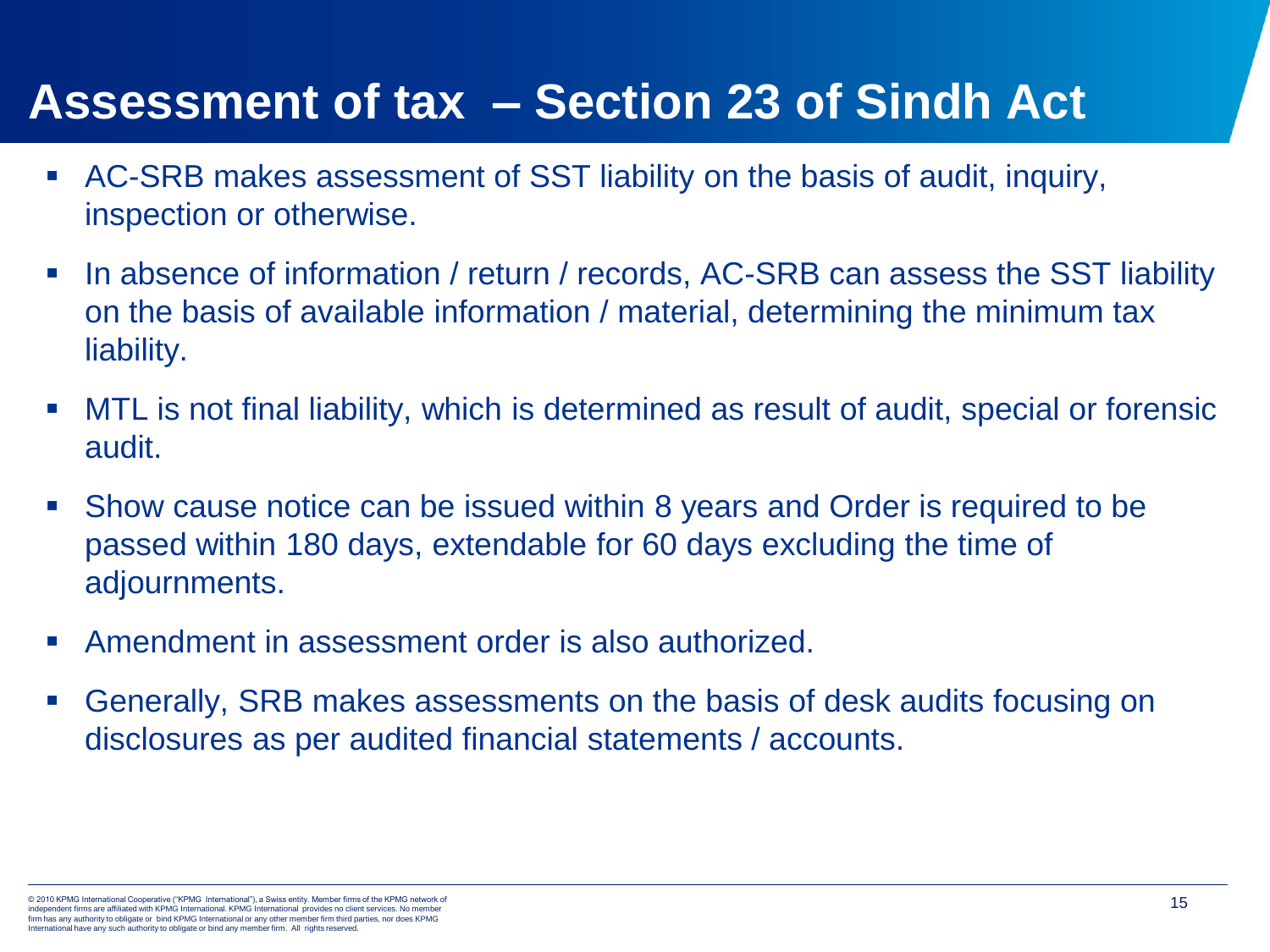### **Assessment of tax – Section 23 of Sindh Act**

- AC-SRB makes assessment of SST liability on the basis of audit, inquiry, inspection or otherwise.
- In absence of information / return / records, AC-SRB can assess the SST liability on the basis of available information / material, determining the minimum tax liability.
- MTL is not final liability, which is determined as result of audit, special or forensic audit.
- Show cause notice can be issued within 8 years and Order is required to be passed within 180 days, extendable for 60 days excluding the time of adjournments.
- Amendment in assessment order is also authorized.
- Generally, SRB makes assessments on the basis of desk audits focusing on disclosures as per audited financial statements / accounts.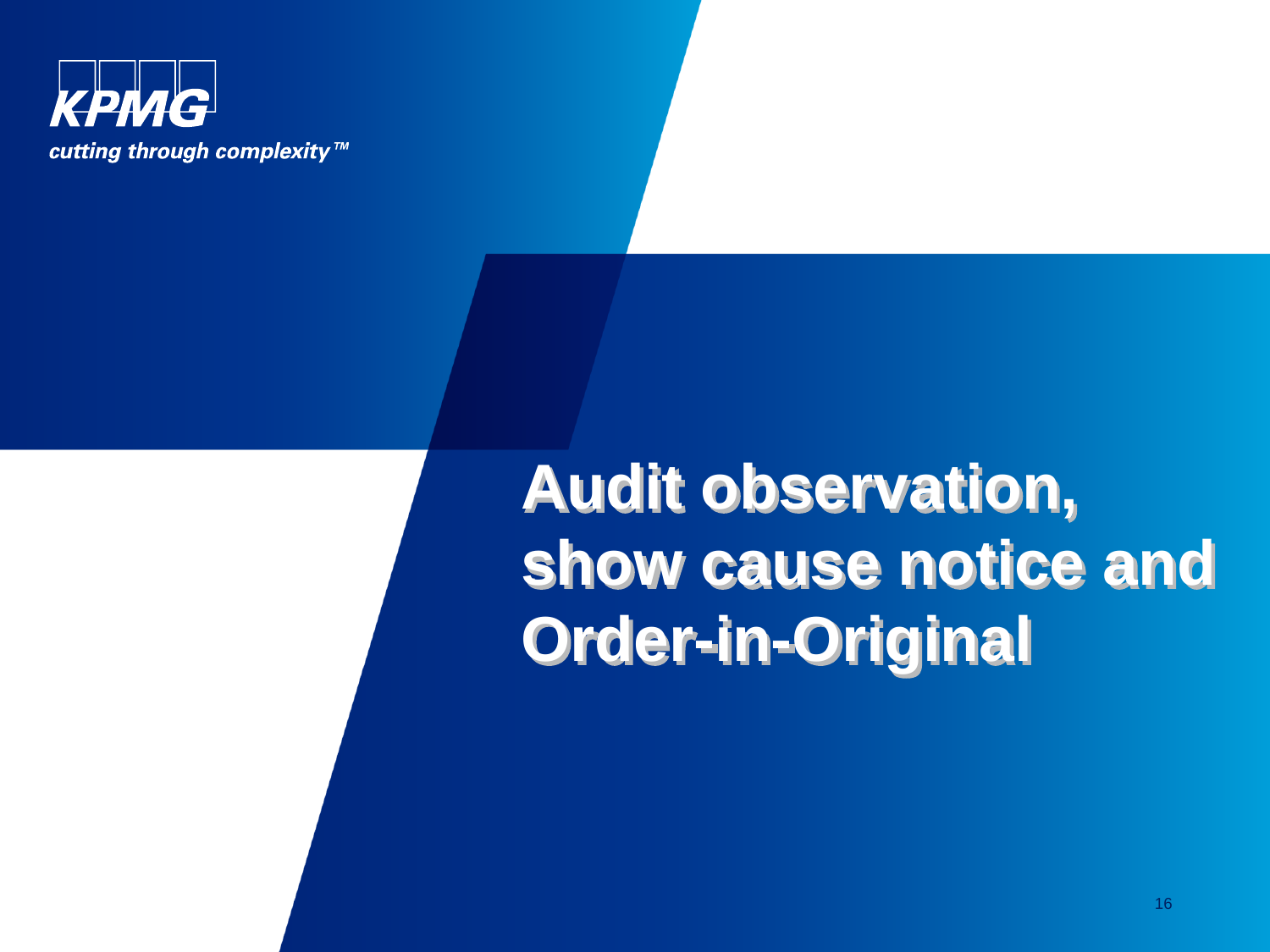

**Audit observation, show cause notice and Order-in-Original**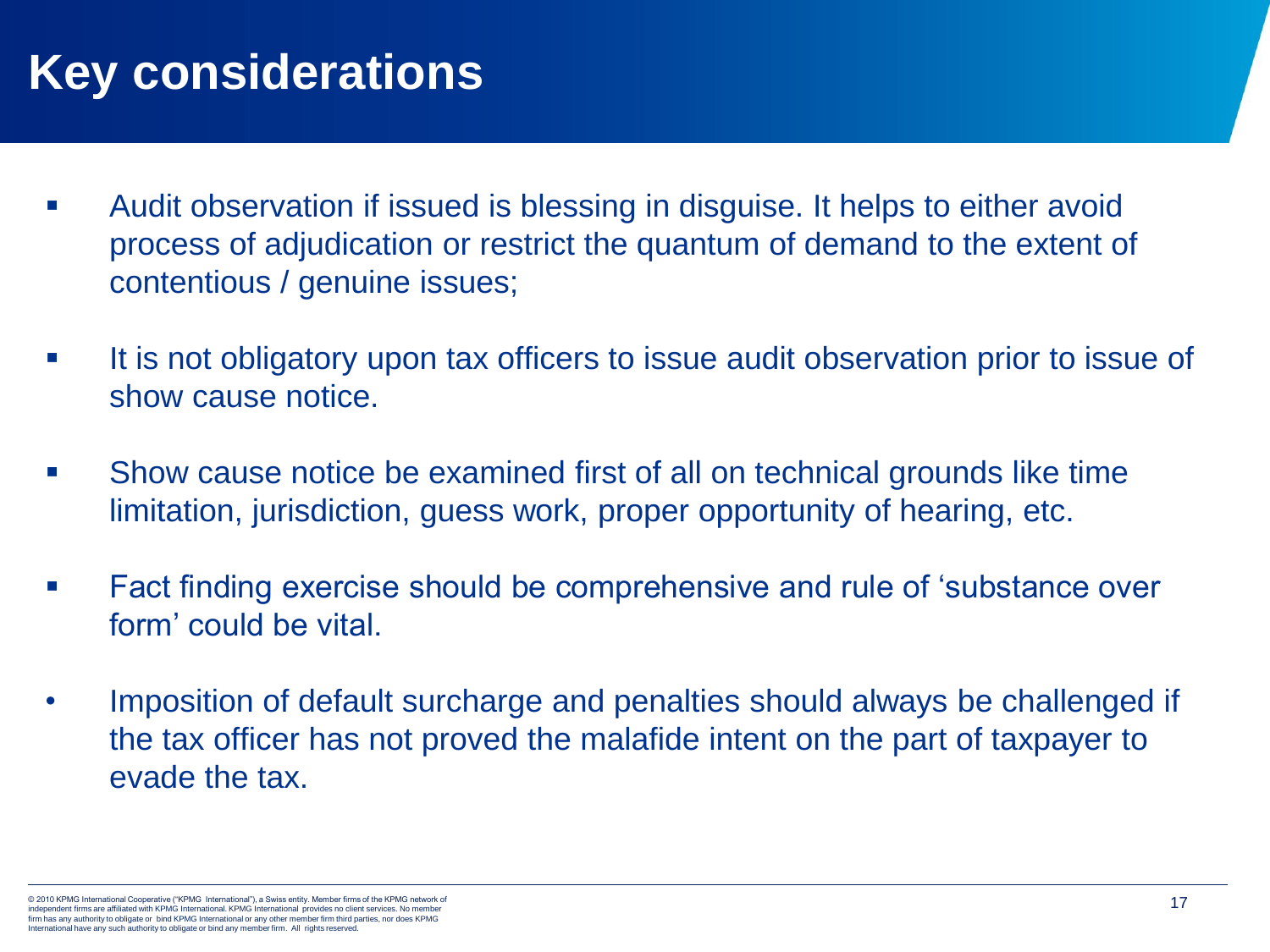## **Key considerations**

- Audit observation if issued is blessing in disguise. It helps to either avoid process of adjudication or restrict the quantum of demand to the extent of contentious / genuine issues;
- It is not obligatory upon tax officers to issue audit observation prior to issue of show cause notice.
- Show cause notice be examined first of all on technical grounds like time limitation, jurisdiction, guess work, proper opportunity of hearing, etc.
- Fact finding exercise should be comprehensive and rule of 'substance over form' could be vital.
- Imposition of default surcharge and penalties should always be challenged if the tax officer has not proved the malafide intent on the part of taxpayer to evade the tax.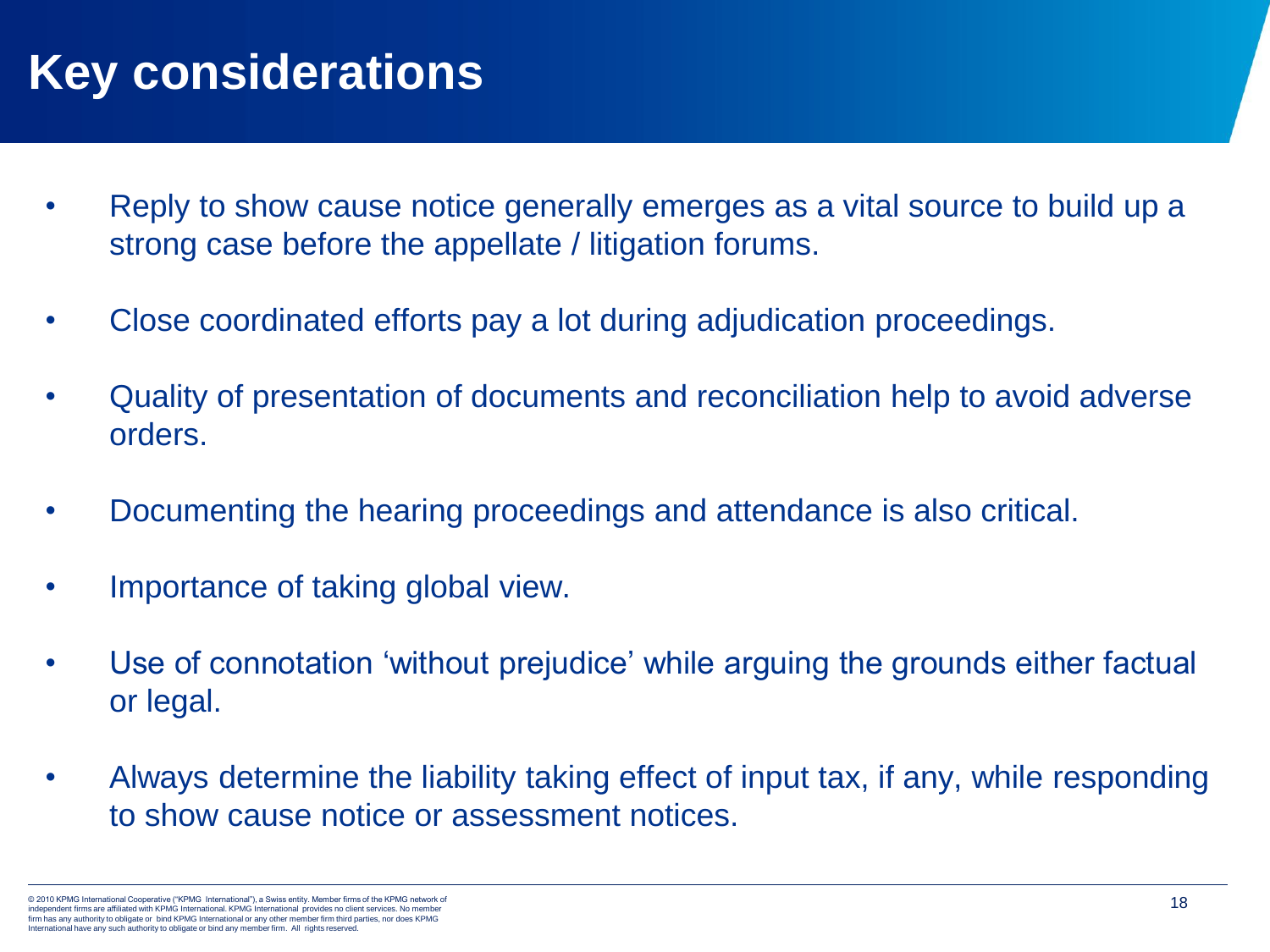## **Key considerations**

- Reply to show cause notice generally emerges as a vital source to build up a strong case before the appellate / litigation forums.
- Close coordinated efforts pay a lot during adjudication proceedings.
- Quality of presentation of documents and reconciliation help to avoid adverse orders.
- Documenting the hearing proceedings and attendance is also critical.
- Importance of taking global view.
- Use of connotation 'without prejudice' while arguing the grounds either factual or legal.
- Always determine the liability taking effect of input tax, if any, while responding to show cause notice or assessment notices.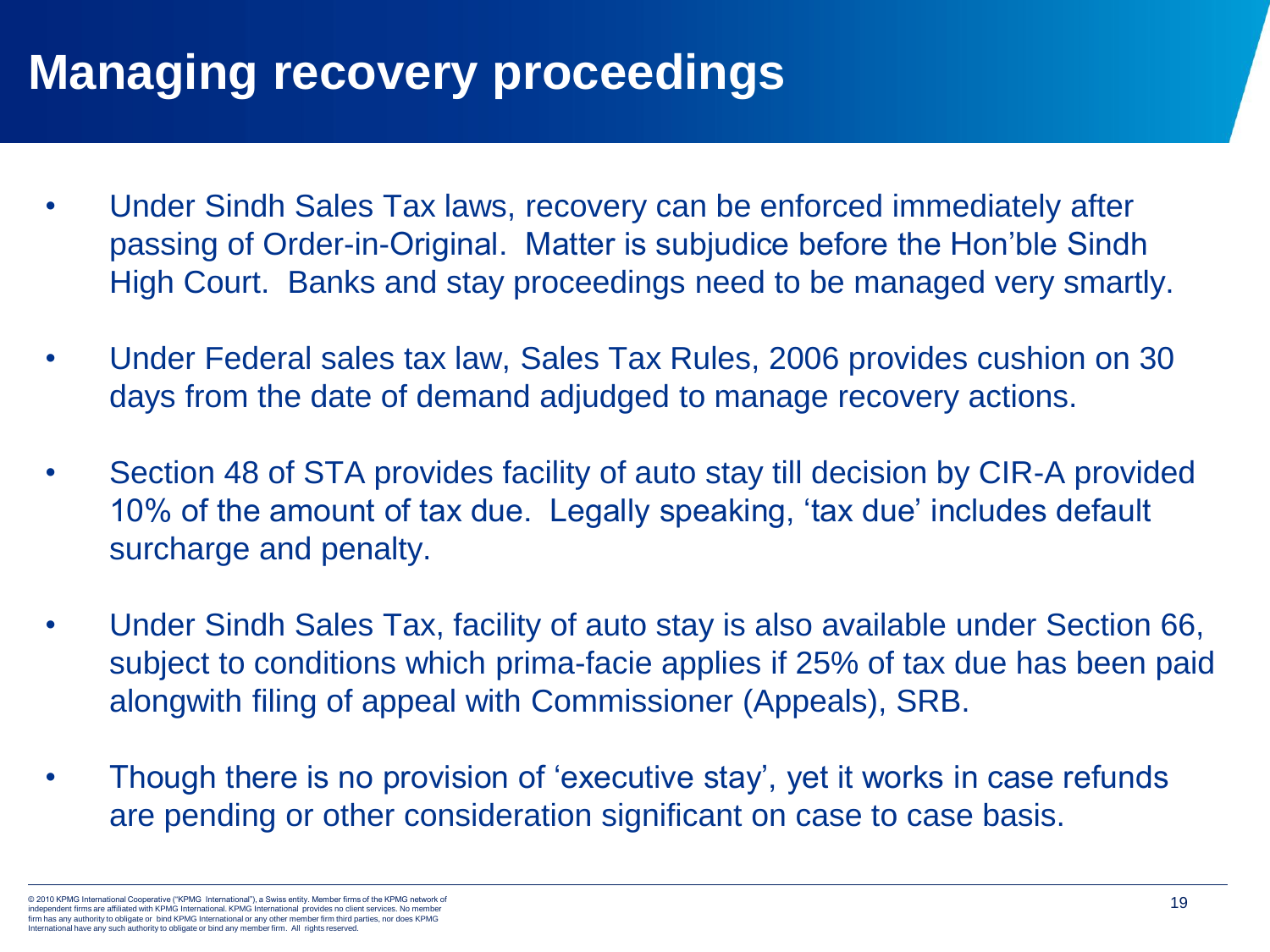## **Managing recovery proceedings**

- Under Sindh Sales Tax laws, recovery can be enforced immediately after passing of Order-in-Original. Matter is subjudice before the Hon'ble Sindh High Court. Banks and stay proceedings need to be managed very smartly.
- Under Federal sales tax law, Sales Tax Rules, 2006 provides cushion on 30 days from the date of demand adjudged to manage recovery actions.
- Section 48 of STA provides facility of auto stay till decision by CIR-A provided 10% of the amount of tax due. Legally speaking, 'tax due' includes default surcharge and penalty.
- Under Sindh Sales Tax, facility of auto stay is also available under Section 66, subject to conditions which prima-facie applies if 25% of tax due has been paid alongwith filing of appeal with Commissioner (Appeals), SRB.
- Though there is no provision of 'executive stay', yet it works in case refunds are pending or other consideration significant on case to case basis.